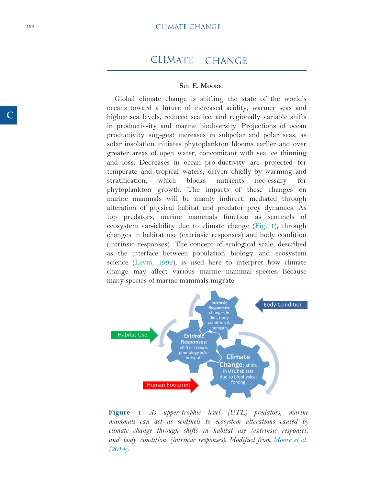# CLIMATE CHANGE

# **Sue e. Moore**

<span id="page-0-0"></span>Global climate change is shifting the state of the world's oceans toward a future of increased acidity, warmer seas and higher sea levels, reduced sea ice, and regionally variable shifts in productiv-ity [and ma](#page-0-0)rine biodiversity. Projections of ocean productivity sug-gest increases in subpolar and polar seas, as solar insolation initiates phytoplankton blooms earlier and over greater areas of open water, concomitant with sea ice thinning and loss. Decreases in ocean pro-ductivity are projected for temperate and tropical waters, driven chiefly by warming and stratification, which blocks nutrients nec-essary for phytoplankton growth. The impacts of these changes on marine mammals will be mainly indirect, mediated through alteration of physical habitat and predator–prey dynamics. As top predators, marine mammals function as sentinels of ecosystem var-iability due to climate change (Fig. 1), through changes in habitat use (extrinsic responses) and body condition (intrinsic responses). The concept of ecological scale, described as the interface between population biology and ecosystem science (Levin, 1992), is used here to interpret how climate change may affect various marine mammal species. Because many species of marine mammals migrate



**Figure 1** *As upper-trophic level (UTL) predators, marine mammals can act as sentinels to ecosystem alterations caused by climate change through shifts in habitat use (extrinsic responses) and body condition (intrinsic responses). Modified from Moore et al. (2014).*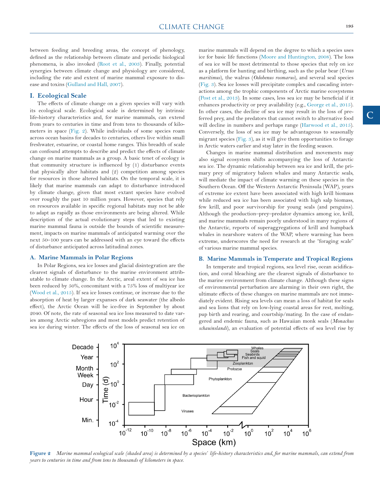between feeding and breeding areas, the concept of phenology, defined as the relationship between climate and periodic biological phenomena, is also invoked ([Root et al., 2003](#page-3-0)). Finally, potential synergies between climate change and physiology are considered, including the rate and extent of marine mammal exposure to disease and toxins ([Gulland and Hall, 2007\)](#page-3-1).

# **I. Ecological Scale**

The effects of climate change on a given species will vary with its ecological scale. Ecological scale is determined by intrinsic life-history characteristics and, for marine mammals, can extend from years to centuries in time and from tens to thousands of kilometers in space [\(Fig. 2\)](#page-1-0). While individuals of some species roam across ocean basins for decades to centuries, others live within small freshwater, estuarine, or coastal home ranges. This breadth of scale can confound attempts to describe and predict the effects of climate change on marine mammals as a group. A basic tenet of ecology is that community structure is influenced by (1) disturbance events that physically alter habitats and (2) competition among species for resources in those altered habitats. On the temporal scale, it is likely that marine mammals can adapt to disturbance introduced by climate change, given that most extant species have evolved over roughly the past 10 million years. However, species that rely on resources available in specific regional habitats may not be able to adapt as rapidly as those environments are being altered. While description of the actual evolutionary steps that led to existing marine mammal fauna is outside the bounds of scientific measurement, impacts on marine mammals of anticipated warming over the next 50–100 years can be addressed with an eye toward the effects of disturbance anticipated across latitudinal zones.

## **A. Marine Mammals in Polar Regions**

In Polar Regions, sea ice losses and glacial disintegration are the clearest signals of disturbance to the marine environment attributable to climate change. In the Arctic, areal extent of sea ice has been reduced by 50%, concomitant with a 75% loss of multiyear ice ([Wood et al., 2015\)](#page-3-2). If sea ice losses continue, or increase due to the absorption of heat by larger expanses of dark seawater (the albedo effect), the Arctic Ocean will be ice-free in September by about 2040. Of note, the rate of seasonal sea ice loss measured to date varies among Arctic subregions and most models predict retention of sea ice during winter. The effects of the loss of seasonal sea ice on

marine mammals will depend on the degree to which a species uses ice for basic life functions ([Moore and Huntington, 2008](#page-3-3)). The loss of sea ice will be most detrimental to those species that rely on ice as a platform for hunting and birthing, such as the polar bear (*Ursus maritimus*), the walrus (*Odobenus rosmarus*), and several seal species [\(Fig. 3\)](#page-2-0). Sea ice losses will precipitate complex and cascading interactions among the trophic components of Arctic marine ecosystems [\(Post et al., 2013](#page-3-4)). In some cases, less sea ice may be beneficial if it enhances productivity or prey availability (e.g., [George et al., 2015](#page-3-5)). In other cases, the decline of sea ice may result in the loss of preferred prey, and the predators that cannot switch to alternative food will decline in numbers and perhaps range [\(Harwood et al., 2015](#page-3-6)). Conversely, the loss of sea ice may be advantageous to seasonally migrant species [\(Fig. 3\)](#page-2-0), as it will give them opportunities to forage in Arctic waters earlier and stay later in the feeding season.

Changes in marine mammal distribution and movements may also signal ecosystem shifts accompanying the loss of Antarctic sea ice. The dynamic relationship between sea ice and krill, the primary prey of migratory baleen whales and many Antarctic seals, will mediate the impact of climate warming on these species in the Southern Ocean. Off the Western Antarctic Peninsula (WAP), years of extreme ice extent have been associated with high krill biomass while reduced sea ice has been associated with high salp biomass, few krill, and poor survivorship for young seals (and penguins). Although the production–prey–predator dynamics among ice, krill, and marine mammals remain poorly understood in many regions of the Antarctic, reports of superaggregations of krill and humpback whales in nearshore waters of the WAP, where warming has been extreme, underscores the need for research at the "foraging scale" of various marine mammal species.

#### **B. Marine Mammals in Temperate and Tropical Regions**

In temperate and tropical regions, sea level rise, ocean acidification, and coral bleaching are the clearest signals of disturbance to the marine environment from climate change. Although these signs of environmental perturbation are alarming in their own right, the ultimate effects of these changes on marine mammals are not immediately evident. Rising sea levels can mean a loss of habitat for seals and sea lions that rely on low-lying coastal areas for rest, molting, pup birth and rearing, and courtship/mating. In the case of endangered and endemic fauna, such as Hawaiian monk seals (*Monachus schauinslandi*), an evaluation of potential effects of sea level rise by



<span id="page-1-0"></span>**Figure 2** *Marine mammal ecological scale (shaded area) is determined by a species' life-history characteristics and, for marine mammals, can extend from years to centuries in time and from tens to thousands of kilometers in space.*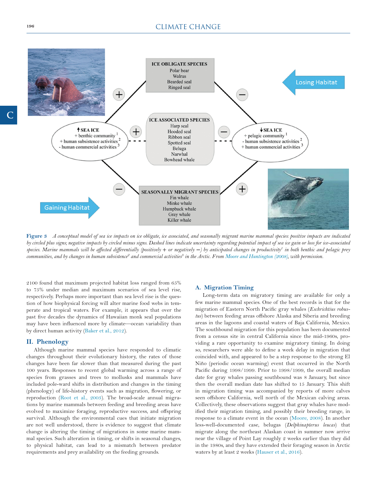

<span id="page-2-0"></span>**Figure 3** *A conceptual model of sea ice impacts on ice obligate, ice associated, and seasonally migrant marine mammal species: positive impacts are indicated by circled plus signs; negative impacts by circled minus signs. Dashed lines indicate uncertainty regarding potential impact of sea ice gain or loss for ice-associated species. Marine mammals will be affected differentially (positively* + *or negatively* **−***) by anticipated changes in productivity1 in both benthic and pelagic prey communities, and by changes in human subsistence2 and commercial activities3 in the Arctic. From [Moore and Huntington \(2008\),](#page-3-3) with permission.*

2100 found that maximum projected habitat loss ranged from 65% to 75% under median and maximum scenarios of sea level rise, respectively. Perhaps more important than sea level rise is the question of how biophysical forcing will alter marine food webs in temperate and tropical waters. For example, it appears that over the past five decades the dynamics of Hawaiian monk seal populations may have been influenced more by climate—ocean variability than by direct human activity ([Baker et al., 2012](#page-3-7)).

# **II. Phenology**

Although marine mammal species have responded to climatic changes throughout their evolutionary history, the rates of those changes have been far slower than that measured during the past 100 years. Responses to recent global warming across a range of species from grasses and trees to mollusks and mammals have included pole-ward shifts in distribution and changes in the timing (phenology) of life-history events such as migration, flowering, or reproduction [\(Root et al., 2003](#page-3-0)). The broad-scale annual migrations by marine mammals between feeding and breeding areas have evolved to maximize foraging, reproductive success, and offspring survival. Although the environmental cues that initiate migration are not well understood, there is evidence to suggest that climate change is altering the timing of migrations in some marine mammal species. Such alteration in timing, or shifts in seasonal changes, to physical habitat, can lead to a mismatch between predator requirements and prey availability on the feeding grounds.

### **A. Migration Timing**

Long-term data on migratory timing are available for only a few marine mammal species. One of the best records is that for the migration of Eastern North Pacific gray whales (*Eschrichtius robustus*) between feeding areas offshore Alaska and Siberia and breeding areas in the lagoons and coastal waters of Baja California, Mexico. The southbound migration for this population has been documented from a census site in central California since the mid-1960s, providing a rare opportunity to examine migratory timing. In doing so, researchers were able to define a week delay in migration that coincided with, and appeared to be a step response to the strong El Niño (periodic ocean warming) event that occurred in the North Pacific during 1998/1999. Prior to 1998/1999, the overall median date for gray whales passing southbound was 8 January, but since then the overall median date has shifted to 15 January. This shift in migration timing was accompanied by reports of more calves seen offshore California, well north of the Mexican calving areas. Collectively, these observations suggest that gray whales have modified their migration timing, and possibly their breeding range, in response to a climate event in the ocean ([Moore, 2008](#page-3-8)). In another less-well-documented case, belugas (*Delphinapterus leucas*) that migrate along the northeast Alaskan coast in summer now arrive near the village of Point Lay roughly 2 weeks earlier than they did in the 1980s, and they have extended their foraging season in Arctic waters by at least 2 weeks ([Hauser et al., 2016\)](#page-3-9).